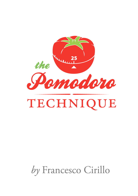

# TECHNIQUE

# by Francesco Cirillo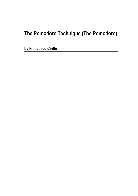# The Pomodoro Technique (The Pomodoro)

by Francesco Cirillo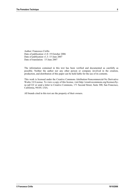Author: Francesco Cirillo Date of publication v1.0: 19 October 2006 Date of publication v1.3: 15 June 2007 Date of translation: 15 June 2007

The information contained in this text has been verified and documented as carefully as possible. Neither the author nor any other person or company involved in the creation, production, and distribution of this paper can be held liable for the use of its contents.

This work is licensed under the Creative Commons Attribution-Noncommercial-No Derivative Works 3.0 License. To view a copy of this license, visit http://creativecommons.org/licenses/bync-nd/3.0/ or send a letter to Creative Commons, 171 Second Street, Suite 300, San Francisco, California, 94105, USA.

All brands cited in this text are the property of their owners.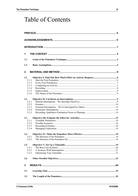# Table of Contents

| 1              |  |
|----------------|--|
| 1.1            |  |
| 1.2            |  |
| $\overline{2}$ |  |
| 2.1            |  |
| 2.1.1          |  |
| 2.1.2          |  |
| 2.1.3          |  |
| 2.1.4          |  |
| 2.1.5          |  |
| 2.1.6          |  |
|                |  |
| 2.2            |  |
| 2.2.1          |  |
| 2.2.2          |  |
| 2.2.3          |  |
| 2.2.4          |  |
| 2.2.5          |  |
|                |  |
| 2.3            |  |
| 2.3.1          |  |
| 2.3.2          |  |
| 2.3.3          |  |
| 2.3.4          |  |
|                |  |
| 2.4            |  |
| 2.4.1          |  |
| 2.4.2          |  |
|                |  |
| 2.5            |  |
| 2.5.1          |  |
| 2.5.2          |  |
| 2.5.3          |  |
|                |  |
| 2.6            |  |
| 3              |  |
| 3.1            |  |
| 3.2            |  |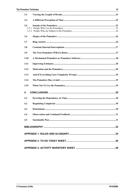| 3.3          |  |
|--------------|--|
| 3.4          |  |
| 3.5<br>3.5.1 |  |
| 3.6          |  |
| 3.7          |  |
| 3.8          |  |
| 3.9          |  |
| 3.10         |  |
| 3.11         |  |
| 3.12         |  |
| 3.13         |  |
| 3.14         |  |
| 3.15         |  |
| 4            |  |
| 4.1          |  |
| 4.2          |  |
| 4.3          |  |
| 4.4          |  |
| 4.5          |  |
|              |  |
|              |  |
|              |  |
|              |  |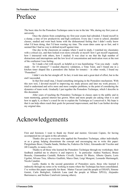# Preface

The basic idea for the Pomodoro Technique came to me in the late '80s, during my first years at university.

Once the elation from completing my first-year exams had subsided. I found myself in a slump, a time of low productivity and high confusion. Every day I went to school, attended classes, studied and went back home with the disheartened feeling that I didn't really know what I'd been doing, that I'd been wasting my time. The exam dates came up so fast, and it seemed like I had no way to defend myself against time.

One day in the classroom on campus where I used to study, I watched my classmates with a critical eve, and then looked even more critically at myself; how I got myself organized, how I interacted with others, how I studied. It was clear to me that the high number of distractions and interruptions and the low level of concentration and motivation were at the root of the confusion I was feeling.

So I made a bet with myself, as helpful as it was humiliating: "Can you study – really study - for 10 minutes?" I needed objective validation, a Time Tutor, and I found one in a kitchen timer shaped like a pomodoro (the Italian for tomato) – in other words, I found my "Pomodoro".

I didn't win the bet straight off. In fact, it took time and a great deal of effort, but in the end I succeeded.

In that first small step, I found something intriguing in the Pomodoro mechanism. With this new tool. I devoted myself to improving my study process and later my work process. I tried to understand and solve more and more complex problems, to the point of considering the dynamics of team work. Gradually I put together the Pomodoro Technique, which I describe in this document.

After years of teaching the Pomodoro Technique in classes open to the public and in team mentoring, general interest has grown. More and more people are asking what it is and how to apply it, so there's a need for me to explain the Technique as I conceived it. My hope is that it can help others reach their goals for personal improvement, and that I can further develop my original idea.

# Acknowledgements

First and foremost, I want to thank my friend and mentor, Giovanni Caputo, for having accompanied me yet again in this adventure.

Thanks also go to everyone who applied the Pomodoro Technique, either individually or as a group, helping disseminate the concept and encouraging me to write this paper: Piergiuliano Bossi, Claudia Sandu, Meihua Su, Federico De Felici, Alessandra del Vecchio and Jill Connelly, to name a few.

Thanks to all those who learned the Pomodoro Technique through my workshops; their feedback enabled me to observe it and improve it. In particular: Andrea Narduzzi, Bruno Bossola, Giannandrea Castaldi, Roberto Crivelli, Ernesto Di Blasio, Alberto Quario, Loris Ugolini, Silvano Trea, Alberico Gualfetti, Marco Dani, Luigi Mengoni, Leonardo Marinangeli, Nicola Canalini.

Lastly, thanks to the second generation of Pomodoro users, those who learned it indirectly through my notes or by working in teams where the Technique has been consolidated. I've written this paper especially for them: Matteo Vaccari (and the people at ESSAP), Simone Genini, Carlo Bottiglieri, Gabriele Lana (and the people at Milano XPUG), Alejandro Barrionuevo, and Stefano Castelvetri (among others).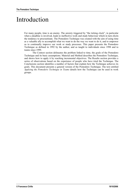# Introduction

For many people, time is an enemy. The anxiety triggered by "the ticking clock", in particular when a deadline is involved, leads to ineffective work and study behaviour which in turn elicits the tendency to procrastinate. The Pomodoro Technique was created with the aim of using time as a valuable ally to accomplish what we want to do the way we want to do it, and to empower us to continually improve our work or study processes. This paper presents the Pomodoro Technique as defined in 1992 by the author, and as taught to individuals since 1998 and to teams since 1999.

The Context section delineates the problem linked to time, the goals of the Pomodoro Technique and its basic assumptions. Material and Method describes the Pomodoro Technique, and shows how to apply it by reaching incremental objectives. The Results section provides a series of observations based on the experience of people who have tried the Technique. The Conclusions section identifies a number of factors that explain how the Technique achieves its goals. This document presents a general version of the Pomodoro Technique. The text entitled Applying the Pomodoro Technique in Teams details how the Technique can be used in work groups.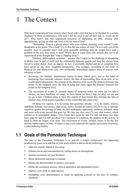### $\mathbf{1}$ The Context

Who hasn't experienced time anxiety when faced with a task that has to be finished by a certain deadline? In these circumstances, who hasn't felt the need to put off that task, to "come up for air"? Who hasn't had that unpleasant sensation of depending on time, chasing after appointments, giving up what one loves to do for lack of time?

"Remember, Time is a greedy player who wins without cheating, every round!" writes Baudelaire in his poem "The Clock" (1). Is this the true nature of time? Or is it only one of the possible ways to consider time? And more generally speaking, why do people have such a problem in the way they relate to time? Where does it come from, this anxiety that we've all experienced at the thought that "time is slipping away"?

Thinkers, philosophers, scientists – anyone who's taken on the challenge of attempting to define time in and of itself and the relationship between people and time has always been forced to admit defeat. Such an inquiry, in fact, is inevitably limited and never complete. Few have given us any truly insightful perspectives. For example, according to the work of Bergson (3) and Minkowski (16), two profoundly interrelated aspects seem to coexist with reference to time:

- $\blacksquare$ *Becoming*. An abstract, dimensional aspect of time, which gives rise to the habit of measuring time (seconds, minutes, hours); the idea of representing time on an axis, as we would spatial dimensions; the concept of the duration of an event (the distance between two points on the temporal axis); the idea of being late (once again the distance between two points on the temporal axis).
- The succession of events. A concrete aspect of temporal order: we wake up, we take a shower, we have breakfast, we study, we have lunch, we have a nap, we play, we eat, and we go to bed. Children come to have this notion of time before they develop the idea of abstract time which passes regardless of the events that take place (16).

Of these two aspects, it is *becoming* that generates anxiety  $-$  it is, by nature, elusive, indefinite, infinite: time passes, slips away, moves toward the future (16). If we try to measure ourselves against the passage of time, we feel inadequate, oppressed, enslaved, defeated, more and more with every second that goes by. We lose our *élan vital* (3), our vital contact, which enables us to accomplish things. "Two hours have gone by and I'm still not done; two days have gone by and I'm still not done." In a moment of weakness, the purpose of the activity at hand is often no longer even clear. The succession of events, instead, seems to be the less anxiety-ridden aspect of time. At times it may even represent the regular succession of activity, a calm-inducing rhythm.

#### $1.1$ **Goals of the Pomodoro Technique**

The aim of the Pomodoro Technique is to provide a simple tool/process for improving productivity (your own and that of your team) which is able to do the following:

- $\blacksquare$ Alleviate anxiety linked to *becoming*
- Enhance focus and concentration by cutting down on interruptions  $\blacksquare$
- Increase awareness of your decisions  $\blacksquare$
- ä Boost motivation and keep it constant
- Bolster the determination to achieve your goals  $\blacksquare$
- $\blacksquare$ Refine the estimation process, both in qualitative and quantitative terms
- $\blacksquare$ Improve your work or study process
- Strengthen your determination to keep on applying yourself in the face of complex  $\blacksquare$ situations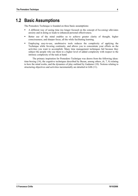# **1.2 Basic Assumptions**

The Pomodoro Technique is founded on three basic assumptions:

- A different way of seeing time (no longer focused on the concept of *becoming*) alleviates  $\blacksquare$ anxiety and in doing so leads to enhanced personal effectiveness.
- $\blacksquare$ Better use of the mind enables us to achieve greater clarity of thought, higher consciousness, and sharper focus, all the while facilitating learning.
- Employing easy-to-use, unobtrusive tools reduces the complexity of applying the  $\blacksquare$ Technique while favoring continuity, and allows you to concentrate your efforts on the activities you want to accomplish. Many time management techniques fail because they subject the people who use them to a higher level of added complexity with respect to the intrinsic complexity of the task at hand.

The primary inspiration for Pomodoro Technique was drawn from the following ideas: time-boxing (14), the cognitive techniques described by Buzan, among others,  $(6, 7, 8)$  relating to how the mind works, and the dynamics of play outlined by Gadamer (10). Notions relating to structuring objectives and activities incrementally are detailed in Gilb (11).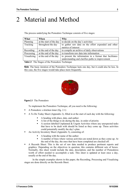### **Material and Method**  $\overline{2}$

The process underlying the Pomodoro Technique consists of five stages:

| What        | When                    | Why                                                     |
|-------------|-------------------------|---------------------------------------------------------|
| Planning    | at the start of the day | to decide on the day's activities                       |
| Tracking    | throughout the day      | to gather raw data on the effort expended and other     |
|             |                         | metrics of interest                                     |
| Recording   | at the end of the day   | to compile an archive of daily observations             |
| Processing  | at the end of the day   | to transform raw data into information                  |
| Visualizing | at the end of the day   | to present the information in a format that facilitates |
|             |                         | understanding and clarifies paths to improvement        |

Table 2.1 The Stages of the Pomodoro Technique

Note The basic iteration of the Pomodoro Technique lasts one day, but it could also be less. In this case, the five stages would take place more frequently.



#### Figure 2.1 The Pomodoro

To implement the Pomodoro Technique, all you need is the following:

- A Pomodoro: a kitchen timer (fig. 2.1)
- A To Do Today Sheet (Appendix 2), filled in at the start of each day with the following:  $\blacksquare$ 
	- A heading with place, date, and author
	- A list of the things to do during the day, in order of priority
		- A section labelled Unplanned & Urgent Activities where any unexpected tasks that have to be dealt with should be listed as they come up. These activities could potentially modify the day's plan.
- An Activity Inventory Sheet (Appendix 3), consisting of:
	- A heading with the name of the author
	- A number of lines where various activities are noted down as they come up. At the end of the day, the ones that have been completed are checked off.
- A Records Sheet: This is the set of raw data needed to produce pertinent reports and  $\blacksquare$ graphics. Depending on the objectives in question, this contains different sets of boxes. Normally, this sheet would include the date, description, and the number of Pomodoros worth of effort needed to accomplish a task. This sheet is updated at least once a day, usually at the end of the day.

In the simple examples shown in this paper, the Recording, Processing and Visualizing stages are done directly on the Records Sheet.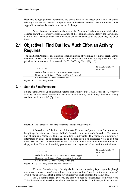Note Due to typographical constraints, the sheets used in this paper only show the entries relating to the topic in question. Simple models of the sheets described here are provided in the Appendices, and can be used to practice the Technique.

An evolutionary approach to the use of the Pomodoro Technique is provided below, oriented toward a progressive experimentation of the Technique itself. Clearly, the incremental nature of the Technique means the objectives should be achieved in the order they are given here.

### $2.1$ **Objective I: Find Out How Much Effort an Activity Requires**

The traditional Pomodoro is 30 minutes long: 25 minutes of work plus a 5-minute break. At the beginning of each day, choose the tasks you want to tackle from the Activity Inventory Sheet, prioritize them, and write them down in the To Do Today Sheet (Fig. 2.2).

| TO DO TODAY                                             | ' Rome, 12 July 2006<br>Mark Ross |
|---------------------------------------------------------|-----------------------------------|
| Write article on <i>How to Learn Music</i> (max 10 pps) |                                   |
| Finetune How to Learn Music by reading it out loud      |                                   |
| Condense How to Learn Musíc to 3 pps                    |                                   |

Figure 2.2 To Do Today Sheet

### 2.1.1 Start the First Pomodoro

Set the Pomodoro for 25 minutes and start the first activity on the To Do Today Sheet. Whoever is using the Pomodoro, whether one person or more than one, should always be able to clearly see how much time is left (fig. 2.3).



Figure 2.3 The Pomodoro: The time remaining should always be visible.

A Pomodoro can't be interrupted; it marks 25 minutes of pure work. A Pomodoro can't be split up; there is no such thing as half of a Pomodoro or a quarter of a Pomodoro. The atomic unit of time is a Pomodoro. (Rule: A Pomodoro Is Indivisible.) If a Pomodoro is definitively interrupted by someone or something, that Pomodoro should be considered void, as if it had never been set; then you should make a fresh start with a new Pomodoro. When the Pomodoro rings, mark an X next to the activity you've been working on and take a break for 3-5 minutes.

| TO DO TODAY                                                 | Rome, 12 July 2006<br>Mark Ross |
|-------------------------------------------------------------|---------------------------------|
| Write the article on <i>How to Learn Music</i> (max 10 pps) |                                 |
| Finetune <i>How to Learn Music</i> by reading it out loud   |                                 |
| Condense How to Learn Music down to 3 pps                   |                                 |

Figure 2.4 To Do Today Sheet: the first Pomodoro.

When the Pomodoro rings, this signals that the current activity is peremptorily (though temporarily) finished. You're not allowed to keep on working "just for a few more minutes", even if you're convinced that in those few minutes you could complete the task at hand.

The 3-5 minute break gives you the time you need to "disconnect" from your work. This allows the mind to assimilate what's been learned in the last 25 minutes, and also provides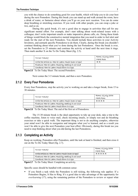you with the chance to do something good for your health, which will help you to do your best during the next Pomodoro. During this break you can stand up and walk around the room, have a drink of water, or fantasize about where you'll go on your next vacation. You can do some deep breathing or stretching exercises. If you work with other people, you can swap a joke or two, and so on.

During this quick break, it's not a good idea to engage in activities that call for any significant mental effort. For example, don't start talking about work-related issues with a colleague; don't write important emails or make imperative phone calls, etc. Doing these kinds of things would block the constructive mental integration that you need in order to feel alert and ready for the start of the next Pomodoro. You should include these activities in your Activity Inventory, and earmark specific Pomodoros to do them. Clearly, during this break you shouldn't continue thinking about what you've done during the last Pomodoros. Once the break is over, set the Pomodoro to 25 minutes and continue the activity at hand until the next time it rings. Then mark another  $X$  on the To Do Today Sheet (fig. 2.5).

| TO DO TODAY                                                 | Rome, 12 July 2006<br>Mark Ross |
|-------------------------------------------------------------|---------------------------------|
| Write the article on <i>How to Learn Music</i> (max 10 pps) | $\times\times$                  |
| Finetune <i>How to Learn Music</i> by reading it out loud   |                                 |
| Condense How to Learn Music down to 3 pps                   |                                 |
|                                                             |                                 |

Figure 2.5 To Do Today Sheet: The second Pomodoro.

Next comes the 3-5 minute break, and then a new Pomodoro.

### 2.1.2 Every Four Pomodoros

Every four Pomodoros, stop the activity you're working on and take a longer break, from 15 to 30 minutes.

| TO DO TODAY                                                 | Rome, 12 July 2006<br>Mark Ross |
|-------------------------------------------------------------|---------------------------------|
| Write the article on <i>How to Learn Music</i> (max 10 pps) | xxxx                            |
| Finetune How to Learn Music by reading it out loud          |                                 |
| Condense How to Learn Musíc down to 3 pps                   |                                 |

Figure 2.6 To Do Today Sheet: The end of the first set of Pomodoros.

The 15-30 minute break is the ideal opportunity to tidy up your desk, take a trip to the coffee machine, listen to voice mail, check incoming emails, or simply rest and do breathing exercises or take a quick walk. The important thing is not to do anything complex, otherwise your mind won't be able to reorganize and integrate what you've learned, and as a result you won't be able to give the next Pomodoro your best effort. Obviously, during this break too you need to stop thinking about what you did during the last Pomodoros.

### 2.1.3 Completing an Activity

Keep on working, Pomodoro after Pomodoro, until the task at hand is finished, and then cross it out on the To Do Today Sheet (fig. 2.7).

| TO DO TODAY                                               | 1 Rome, 12 July 2006<br>Mark Ross |
|-----------------------------------------------------------|-----------------------------------|
| <u>Write article on How to Learn Musis (max 10 pps)</u>   | <b>xxxxx</b>                      |
| Finetune <i>How to Learn Music</i> by reading it out loud |                                   |
| Condense How to Learn Music down to 3 pps                 |                                   |

Figure 2.7 To Do Today Sheet: Completing an activity.

Specific cases should be handled with common sense:

If you finish a task while the Pomodoro is still ticking, the following rule applies: If a Pomodoro Begins, It Has to Ring. It's a good idea to take advantage of the opportunity for *overlearning* (17), using the remaining portion of the Pomodoro to review or repeat what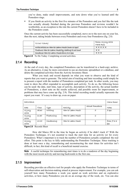you've done, make small improvements, and note down what you've learned until the Pomodoro rings.

If you finish an activity in the first five minutes of the Pomodoro and you feel like the task was actually already finished during the previous Pomodoro and revision wouldn't be worthwhile, as an exception to the rule the current Pomodoro doesn't have to be included in the Pomodoro count.

Once the current activity has been successfully completed, move on to the next one on your list, then the next, taking breaks between every Pomodoro and every four Pomodoros (fig. 2.8)

| TO DO TODAY                                                        | Rome, 12 July 2006<br>Mark Ross |
|--------------------------------------------------------------------|---------------------------------|
| <del>Write article on <i>How to Learn Musis</i> (max 10 pps)</del> | <b>xxxxx</b>                    |
| <u>Finetune How to Learn Musio by reading it out loud</u>          |                                 |
| <del>Condense <i>How to Learn Music</i> down to 3 pps</del>        | $\times$ $\times$ $\times$      |

Figure 2.8 To Do Today: Completing several activities.

### 2.1.4 Recording

At the end of every day, the completed Pomodoros can be transferred in a hard-copy archive. As an alternative, it may be more convenient to use an electronic spreadsheet or a database, and delete the completed activities from the Activity Inventory Sheet.

What you track and record depends on what you want to observe and the kind of reports that you want to generate. The initial aim of tracking and later recording could simply be to present a report with the number of Pomodoros completed per task. In other words, you may want to show the effort expended to accomplish each activity. To do so, the following boxes can be used: the date, start time, type of activity, description of the activity, the actual number of Pomodoros, a short note on the results achieved, and possible room for improvement, or problems that may have come up (fig. 2.9). This initial recording model actually represents the report you want. It's easy to draw up, even on paper.

| <b>RECORDS</b>  |                       |            |                    |                  | Marco Rossí       |
|-----------------|-----------------------|------------|--------------------|------------------|-------------------|
| Date            | Time                  | ТИРЕ       | Activity           | Actual Pomodoros | Notes             |
| 12 July<br>2006 | 08:30                 | Wrítíng    | How to Learn Musíc | 5                | <b>チ叩S</b>        |
| 12 July<br>2006 | 11:30                 | Finetuning | How to Learn Musíc | 2                |                   |
| 12 July<br>2006 | 14:00<br>$1 \quad 01$ | Condensing | How to Learn Musíc | з                | from チto 3<br>pps |

Figure 2.9 Records Sheet

How did Marco fill in the time he began an activity if he didn't track it? With the Pomodoro Technique, it's not essential to track the start time for an activity (or for every Pomodoro). What's important is to track the number of Pomodoros actually completed: the real effort. This point is the key to fully understanding the Pomodoro Technique. Since tracking is done at least once a day, remembering and reconstructing the start times for activities isn't difficult; in fact, this kind of recall is a beneficial mental exercise.

**Note** A useful technique for remembering start times is to do a rundown of the day beginning with the most recent activity and moving backwards to the first one.

### 2.1.5 Improvement

Recording provides an effective tool for people who apply the Pomodoro Technique in terms of self-observation and decision-making aimed at process improvement. For example, you can ask yourself how many Pomodoros a week you spend on work activities and on explorative activities, or how many Pomodoros you do on an average day of the week, etc. You can also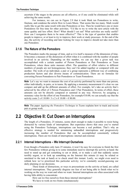$\mathbf{Q}$ 

ascertain if the stages in the process are all effective, or if one could be eliminated while still achieving the same results.

For instance, we can see in Figure 2.9 that it took Mark ten Pomodoros to write, finetune, and condense the article How to Learn Music. That seems like too many. Mark would really like to get the same result with nine Pomodoros or less. Then he would have one or more Pomodoros for free time for other activities. "I'd like to try to write the next article with the same quality and less effort. How? What should I cut out? What activities are really useful? How can I reorganize them to be more effective?" This is the type of question that enables people to improve, or at least to try to improve, their work or study processes. At the end of the day, the activity of recording and later looking for ways to improve should not take more than one Pomodoro.

### 2.1.6 The Nature of the Pomodoro

The Pomodoro marks the passage of time, and so it is itself a measure of the dimension of time. It becomes a measure of the dimension of effort when it is combined with the number of people involved in an activity. Depending on this number, we can say that a given task was accomplished with a certain number of Person Pomodoros or Pair Pomodoros or Team Pomodoros, where these units measure effort. The quantities of effort relative to different numbers of people are not homogeneous; they can't be added together or compared with one another. The work of an individual, a pair or a group represents a different way of combining production factors and also diverse means of communication. There are no formulas for converting Person Pomodoros to Pair Pomodoros or Team Pomodoros.

**Note** Let's say we want to measure the cost of an activity performed by more than one person, either individually, in pairs, or in teams. By applying a monetary measurement it's clear we can compare and add up the different amounts of effort. For example, let's take an activity that's achieved by the effort of 2 Person Pomodoros and 3 Pair Pomodoros. In terms of effort, these amounts can not be directly compared or summed in any way. However, by assigning a monetary value for the effort of one Pomodoro, for example  $\epsilon$ 10.00, we can actually say that the activity costs 2 x € 10.00+ 3 x 2 x € 10.00 =  $\epsilon$  80.00.

**Nota** The paper *Applying the Pomodoro Technique in Teams* explains how to track and record pair or group work.

# 2.2 Objective II: Cut Down on Interruptions

The length of a Pomodoro, 25 minutes, seems short enough to make it possible to resist being distracted by various kinds of interruptions. But experience shows that once you've started using the Pomodoro Technique, interruptions can become a real problem. That's why an effective strategy is needed for minimizing unhandled interruptions and progressively increasing the number of Pomodoros that can be accomplished consistently without interruptions. There are two kinds of interruptions: internal and external.

# 2.2.1 Internal Interruptions – We Interrupt Ourselves

Even though a Pomodoro only lasts 25 minutes, it won't be easy for everyone to finish the first few Pomodoros without giving in to some immediate need to interrupt the activity at hand: the need to stand up and get something to eat or drink, or to make a call that suddenly seems terribly urgent, or to look up something on the Internet this minute (it may be related or unrelated to the task at hand) or to check email this instant. Lastly, we might even need to rethink how we've prioritized this particular activity; we're constantly second-guessing our daily planning or our decisions.

These kinds of distractions, or ways to procrastinate on the activity at hand, are called internal interruptions. They generally disguise our fear of not being able to finish what we're working on the way we want and when we want. Internal interruptions are often associated with having little ability to concentrate.

How can we free ourselves from these internal interruptions? We have to work on two fronts simultaneously: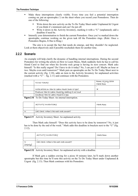- Make these interruptions clearly visible. Every time you feel a potential interruption coming on, put an apostrophe (') on the sheet where you record your Pomodoros. Then do one of the following:
	- Write down the new activity on the To Do Today Sheet under Unplanned & Urgent if you think it's imminent and can't be put off.
	- Write it down in the Activity Inventory, marking it with a "U" (unplanned); add a deadline if need be.
- $\blacksquare$ Intensify your determination to finish the current Pomodoro. Once you've marked down the apostrophe, continue working on the given task till the Pomodoro rings. (Rule: Once a Pomodoro Begins, It Has to Ring.)

The aim is to accept the fact that needs do emerge, and they shouldn't be neglected. Look at them objectively and if possible reschedule them for another time.

### 2.2.2 Scenario

An example will help clarify the dynamic of handling internal interruptions. During the second Pomodoro for writing the article on How to Learn Music, Mark suddenly feels he has to call his friend Carol to find out when his favorite rock group is having its next concert. Mark asks himself: "Is this really urgent? Do I have to do it today? No, I can put it off. Maybe an hour or two. Maybe even until tomorrow!" Mark puts an apostrophe on the To Do Today Sheet next to the current activity (fig. 2.10), adds an item to the Activity Inventory for unplanned activities (marked with a " $U$ " – fig. 2.11) and continues with the Pomodoro.

| TO DO TODAY                                             | Rome, 12 July 2006<br>Mark Ross |
|---------------------------------------------------------|---------------------------------|
| Write article on <i>How to Learn Music</i> (max 10 pps) |                                 |
| Finetune How to Learn Music by reading it out loud      |                                 |
| Condense How to Learn Musíc to 3 pps                    |                                 |

Figure 2.10 To Do Today Sheet: An internal interruption.

| ACTIVITY INVENTORY                        | Mark Ross |
|-------------------------------------------|-----------|
| $$                                        |           |
| Call Carol: When's the next rock concert? |           |
|                                           |           |

Figure 2.11 Activity Inventory Sheet: An unplanned activity.

Then Mark asks himself: "Does this activity have to be done by tomorrow? No, it just has to be done by the end of the week." Mark adds this deadline in brackets next to the "U" (fig.  $2.12$ ).

|          | <b>ACTIVITY INVENTORY</b>                 | Mark Ross |
|----------|-------------------------------------------|-----------|
|          |                                           |           |
|          | Call Carol: When's the next rock concert? |           |
| [14]uly] |                                           |           |
|          |                                           |           |

Figure 2.12 Activity Inventory Sheet: An unplanned activity with a deadline.

If Mark gets a sudden craving for a pizza 10 minutes later, he'll mark down another apostrophe but this time he'll note this activity on the To Do Today Sheet under Unplanned  $\&$ Urgent (fig. 2.13). Then Mark continues with his Pomodoro.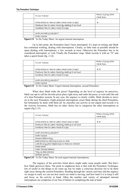| TO DO TODAY                                        | Rome, 12 July 2006<br>Mark Ross |
|----------------------------------------------------|---------------------------------|
|                                                    | ,,                              |
| Write article on How to Learn Music (max 10 pps)   | ×                               |
| Finetune How to Learn Music by reading it out loud |                                 |
| Condense How to Learn Music to 3 pps               |                                 |
|                                                    |                                 |
| UNPLANNED & URGENT                                 |                                 |
| Order a pízza                                      |                                 |

Figure 2.13 To Do Today Sheet: An urgent internal interruption.

Up to this point, the Pomodoro hasn't been interrupted. It's kept on ticking and Mark has continued working, dealing with interruptions. Clearly, as little time as possible should be spent dealing with interruptions, a few seconds at most. Otherwise the Pomodoro has to be considered interrupted, or void. Finally the Pomodoro rings. Mark records it with an "X" and takes a quick break (fig. 2.14)

| TO DO TODAY                                        | Rome, 12 July 2006<br>Mark Ross   |
|----------------------------------------------------|-----------------------------------|
| Write article on How to Learn Music (max 10 pps)   | $\cdot$ $\cdot$<br>$\times\times$ |
| Finetune How to Learn Music by reading it out loud |                                   |
| Condense How to Learn Musíc to 3 pps               |                                   |
|                                                    |                                   |
| UNPLANNED & URGENT                                 |                                   |
| Order a pízza                                      |                                   |

Figure 2.14 To Do Today Sheet: Urgent internal interruption, second Pomodoro.

When does Mark order the pizza? Depending on the level of urgency he perceives, Mark can opt to call his favorite pizza place right away and order the pizza, or wait until the end of a four-Pomodoro session. In any case, the urgency is clearly visible. Mark decides to move on to the next Pomodoro. Eight potential interruptions await Mark during the third Pomodoro, but fortunately he deals with them all: he classifies one activity as not urgent and records it in the Activity Inventory; Mark has no other choice but to categorize the other interruptions as urgent (fig.  $2.15$ ).

| TO DO TODAY                                        | Rome, 12 July 2006<br>Mark Ross |
|----------------------------------------------------|---------------------------------|
|                                                    | , , , , , , , , , ,             |
| Write article on How to Learn Music (max 10 pps)   | $\times\times$                  |
| Finetune How to Learn Music by reading it out loud |                                 |
| Condense How to Learn Musíc to 3 pps               |                                 |
|                                                    |                                 |
| UNPLANNED & URGENT                                 |                                 |
| Order a pízza                                      |                                 |
| Choose a bíke to buy                               |                                 |
| Read artícle on learning music in Asia             |                                 |
| Look for July jazz happenings in Rome on Internet  |                                 |
| Check email                                        |                                 |
| Order Chinese takeout                              |                                 |
| Tidy up desk drawers                               |                                 |
| Sharpen pencils                                    |                                 |

Figure 2.15 To Do Today Sheet: Several urgent internal interruptions.

The urgency of the activities listed above might make some people smile. But that's how Mark perceives them. The point to emphasize here is that with the Pomodoro Technique, lots of useful or fun things to do come up, but we make a conscious decision not to do them right away during the current Pomodoro. Reading through the various activities and the urgency we assign to each, we can see how much our mind is moving, and how hard it is to keep it still and focus on the activity at hand. Often the number and variety of attempted internal interruptions are symptoms of our fear of failure in completing the task at hand.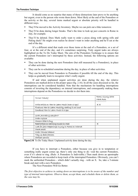It should come as no surprise that many of these distractions later prove to be anything but urgent, even to the person who wrote them down. Most likely at the end of the Pomodoro or the activity or the day, several items marked urgent or absolute priority will be handled in different ways.

- They'll be moved to the Activity Inventory. Maybe we can pick out a bike tomorrow.
- They'll be done during longer breaks. That's the time to look up jazz concerts in Rome in  $\blacksquare$ July, for example.
- They'll be deleted. Does Mark really want to order a pizza along with spring rolls and Peking duck? He might even realize he doesn't want to order anything and he'll eat at the end of the day.

It's a different mind that reads over those items at the end of a Pomodoro, or a set of four, or at the end of the day, and it's sometimes surprising. Truly urgent tasks are always highlighted on the To Do Today Sheet. The aim of the Pomodoro Technique is to ensure that the current Pomodoro isn't interrupted by these activities. Instead, the following options are available:

- $\blacksquare$ They can be done during the next Pomodoro (but still measured by a Pomodoro), in place of other activities.
- They can be re-scheduled sometime during the day, in place of other activities.  $\blacksquare$
- They can be moved from Pomodoro to Pomodoro if possible till the end of the day. This helps us gradually learn to recognize what's really urgent.

If and when unplanned urgent activities are done during the day, the relative Pomodoros are marked down in the proper space (fig. 2.16). In all the cases discussed so far, the interruptions can be considered handled. Note that the mechanism for handling interruptions consists of inverting the dependency on internal interruptions, and consequently making these interruptions depend on the Pomodoros we decide to slot them into.

| TO DO TODAY                                             | Rome, 12 July 2006<br>Mark Ross |
|---------------------------------------------------------|---------------------------------|
|                                                         | ,,,,,,,,,,                      |
| Write article on <i>How to Learn Music</i> (max 10 pps) | $\times\times$                  |
| Finetune How to Learn Music by reading it out loud      |                                 |
| Condense How to Learn Music to 3 pps                    |                                 |
| UNPLANNED & URGENT                                      |                                 |
| Order a pízza                                           |                                 |
| Choose a bíke to buy                                    |                                 |
| Read artícle on learning music in Asia                  | ×                               |
| Look for jazz happenings in July in Rome on Internet    |                                 |
| Check email                                             |                                 |
| Order Chinese takeout                                   |                                 |
| Tidy up desk drawers                                    |                                 |
| Sharpen pencils                                         |                                 |

Figure 2.16 To Do Today Sheet: Unplanned activity done during the day.

If you have to interrupt a Pomodoro, either because you give in to temptation or something really urgent comes up, there's only one thing to do: void the current Pomodoro, even if it's about to ring. (Rule: A Pomodoro Is Indivisible.) Then mark down an apostrophe where Pomodoros are recorded to keep track of the interrupted Pomodoro. Obviously, you can't mark the unfinished Pomodoro - which didn't actually ring - with an X. So, take a 5-minute break and start with a new Pomodoro.

The Next Pomodoro Will Go Better.

The first objective to achieve in cutting down on interruptions is to be aware of the number and type of internal interruptions. Observe them, accept them, and schedule them or delete them, as the case may be.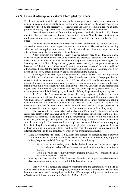### 2.2.3 External Interruptions – We're Interrupted by Others

People who work in social environments can be interrupted: your study partner asks you to explain a paragraph or suggests going to a movie after dinner; a phone call doesn't get effectively filtered by the secretary; a colleague asks you how to compile a report; an email program constantly beeps every time a new message comes in. What should you do?

External interruptions call for the ability to "protect" the ticking Pomodoro. Up till now a major effort has been made to eliminate internal interruptions. Now the risk is that someone on the outside prevents you from having the pleasure of marking an X on your To Do Today Sheet.

The main difference between internal and external interruptions is that with the latter we need to interact with other people: we need to communicate. The mechanism for dealing with external interruptions is the same as that for internal ones: invert the dependency on interruptions, and make the interruptions depend on us.

A few examples are helpful to clarify what we actually need to do. Incoming phone calls can always be taken by the answering machine and messages listened to later. Emails can keep coming in without distracting our attention simply by deactivating acoustic signals for incoming messages. If a colleague or study partner comes over, you can politely say you're busy and can't be interrupted. (Some people use the humorous expression "I'm in the middle of a Pomodoro.") Then tell the person that you'd rather call them back in 25 minutes, or in a few hours, or tomorrow, depending on how urgent and important the matter is.

Speaking from experience, true emergencies that need to be dealt with instantly are rare in real life. A 25-minute or 2-hour delay (four Pomodoros) is almost always possible for activities that are commonly considered urgent. This delay isn't usually detrimental to the person who wants to communicate with you, but gives you an enormous advantage in terms of making your mind work effectively, finishing activities the way you want to and rescheduling urgent tasks. With practice, you'll come to realize how often apparently urgent activities can even be postponed till the following day while still satisfying the person making the request.

So, Protect the Pomodoro means: inform effectively, negotiate quickly to reschedule the interruption, and call back the person who interrupted you as agreed. The Inform, Negotiate, Call Back Strategy enables you to control external interruptions by simply rescheduling them in a later Pomodoro the same day or another day according to the degree of urgency. The dependency inversion for interruptions lies in this mechanism. We're no longer dependent on interruptions, interruptions depend on us (i.e. the Pomodoros we allocate for calling back).

The feedback from people who start applying the Pomodoro Technique is often the same: they discover they can have up to 10 or even 15 external interruptions during a single Pomodoro (25 minutes). If the people doing the interrupting learn that you'll really call them back, and you're not just putting them off, it won't take long to see our habitual interrupters actually protecting the Pomodoro too. Many people who work with Pomodoro users say they have the feeling they're working or studying with people who know how to appreciate the value of their own time. In operational terms, handling this type of interruption is like dealing with internal interruptions. In this case, too, we work on two fronts simultaneously:

- Make these interruptions clearly visible. Every time someone or something tries to interrupt a Pomodoro, put a dash (-) on the sheet where you record your Pomodoros, apply the Inform, Negotiate, and Call Strategy. Then do one of the following:
	- Write down the new activity on the To Do Today Sheet under Unplanned & Urgent if it has to be done today, adding the promised deadline in brackets in the left-hand margin.
	- Write it down in the Activity Inventory, marking it with a "U" (unplanned); add a deadline in brackets if need be.
- Intensify your determination to finish the current Pomodoro. Once you've marked down the  $\blacksquare$ dash, continue working on the given task till the Pomodoro rings.

This way, you'll achieve the objective of remembering the commitment you made, as well as measuring daily external interruptions, without interrupting the Pomodoro. The example below shows two external interruptions handled in different ways during the second Pomodoro of Write an Article on *How to Learn Music* (fig. 2.17 and 2.18).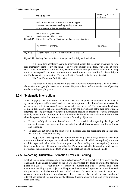|         | TO DO TODAY                                                                                                                                                                                                                                                                                                                                                                                                                                                                                                                                                                                                                                                                                                                                            | Rome, 12 July 2006<br>Mark Ross |
|---------|--------------------------------------------------------------------------------------------------------------------------------------------------------------------------------------------------------------------------------------------------------------------------------------------------------------------------------------------------------------------------------------------------------------------------------------------------------------------------------------------------------------------------------------------------------------------------------------------------------------------------------------------------------------------------------------------------------------------------------------------------------|---------------------------------|
|         |                                                                                                                                                                                                                                                                                                                                                                                                                                                                                                                                                                                                                                                                                                                                                        |                                 |
|         | Write article on How to Learn Music (max 10 pps)                                                                                                                                                                                                                                                                                                                                                                                                                                                                                                                                                                                                                                                                                                       | ×                               |
|         | Finetune How to Learn Music by reading it out loud                                                                                                                                                                                                                                                                                                                                                                                                                                                                                                                                                                                                                                                                                                     |                                 |
|         | Condense How to Learn Musíc to 3 pps                                                                                                                                                                                                                                                                                                                                                                                                                                                                                                                                                                                                                                                                                                                   |                                 |
|         |                                                                                                                                                                                                                                                                                                                                                                                                                                                                                                                                                                                                                                                                                                                                                        |                                 |
|         | UNPLANNED & URGENT:                                                                                                                                                                                                                                                                                                                                                                                                                                                                                                                                                                                                                                                                                                                                    |                                 |
| [15.40] | Email draft of article to Luke                                                                                                                                                                                                                                                                                                                                                                                                                                                                                                                                                                                                                                                                                                                         |                                 |
| .       | $\blacksquare$ $\blacksquare$ $\blacksquare$ $\blacksquare$ $\blacksquare$ $\blacksquare$ $\blacksquare$ $\blacksquare$ $\blacksquare$ $\blacksquare$ $\blacksquare$ $\blacksquare$ $\blacksquare$ $\blacksquare$ $\blacksquare$ $\blacksquare$ $\blacksquare$ $\blacksquare$ $\blacksquare$ $\blacksquare$ $\blacksquare$ $\blacksquare$ $\blacksquare$ $\blacksquare$ $\blacksquare$ $\blacksquare$ $\blacksquare$ $\blacksquare$ $\blacksquare$ $\blacksquare$ $\blacksquare$ $\blacks$<br>$\blacksquare$<br>and the contract of the contract of the contract of the contract of the contract of the contract of the contract of the contract of the contract of the contract of the contract of the contract of the contract of the contra<br>$-1$ |                                 |

Figura 2.17 Things To Do Today Sheet: An unplanned urgent activity.

|           | <b>ACTIVITY INVENTORY</b>                           | Mark Ross |
|-----------|-----------------------------------------------------|-----------|
|           |                                                     |           |
| uI13JulyI | Make an appointment with Maestro Neri for interview |           |
|           | $\cdots$                                            |           |

Figure 2.18 Activity Inventory Sheet: An unplanned activity with a deadline.

If a Pomodoro absolutely has to be interrupted, either due to human weakness or for a real emergency, there's only one thing to do: void the current Pomodoro, even if it's about to ring. (Rule: A Pomodoro is Indivisible.) Then put a dash where you record Pomodoros to keep track of interrupted Pomodoros, and record the description and the deadline for the activity in the Unplanned  $&$  Urgent section. Then start the first Pomodoro for the urgent activity.

The Next Pomodoro Will Go Better.

The second objective to achieve in order to cut down on interruptions is to be aware of the number and type of external interruptions. Negotiate them and reschedule them depending on the real degree of urgency.

### 2.2.4 Systematic Interruptions

When applying the Pomodoro Technique, the first tangible consequence of having to systematically deal with internal and external interruptions is that Pomodoros earmarked for organizational activities emerge (emails, phone calls, meetings, etc.). The most natural and most common decision is to set aside one Pomodoro a day (or more if need be) to take care of urgent interruptions. The dependency inversion mechanism applied to protect the current Pomodoro actually serves to turn interruptions into Pomodoros dedicated to forms of communication. We should emphasize that Pomodoro users have the following objectives:

- To successfully delay these Pomodoros as far as possible, downgrading the degree of apparent urgency and incrementing the extent to which these activities can be controlled and scheduled
- To gradually cut down on the number of Pomodoros used for organizing the interruptions that come up throughout the day

People who start applying the Pomodoro Technique are always amazed when they measure the Pomodoros spent on work and study (without unhandled interruptions) and those used for organizational activities (which in part come from dealing with interruptions). In some teams, members start off with no more than 2-3 Pomodoros actually dedicated to work per day per person; the remaining Pomodoros are spent on meetings, phone calls, and emails.

### 2.2.5 Recording: Qualitative Estimation Errors in Planning

Look at the activities recorded daily and marked with a "U" in the Activity Inventory, and the ones marked Unplanned & Urgent on the To Do Today Sheet. By doing so, during the planning phase you can assess your ability to identify the number and type of activity that's most effective in reaching a given objective. The greater the number of unplanned activities involved, the greater the qualitative error in your initial estimate. So, you can measure the unplanned activities done to attain a certain objective. Clearly, you can also include the total number of internal and external interruptions on the Records Sheet to observe them and try to minimize them over time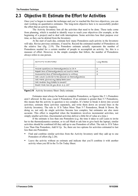#### **Objective III: Estimate the Effort for Activities**  $2.3$

Once you've begun to master the technique and you've reached the first two objectives, you can start working on quantitative estimates. The long-term objective here is to successfully predict the effort that an activity requires.

The Activity Inventory lists all the activities that need to be done. These tasks come from planning, which is needed to identify ways to reach your objectives (for example, at the beginning of a project) and to deal with interruptions. Some activities lose their purpose over time, so they can be deleted from the Inventory.

At the start of each day, estimate how many Pomodoros each activity in the Inventory will take. Revise previous estimates, if need be. Record the estimated number of Pomodoros on the relative line (fig. 2.19). The Pomodoro estimate actually represents the number of Pomodoros needed for a certain number of people to accomplish an activity. So, this is a measure of effort. However, in the simple examples that follow, the number of Pomodoros always refers to one person.

| <b>ACTIVITY INVENTORY</b>                               | Lucy Banks |
|---------------------------------------------------------|------------|
|                                                         |            |
| Answer questions on thermodynamics in Ch 4              | 2          |
| Repeat laws of thermodynamics out loud to Mark          | 3          |
| Summarize laws of thermodynamics in writing             | 3          |
| Call Laura: invite her to the seminar on thermodynamics |            |
| call Mark: give me my laptop back soon!                 |            |
| call Andrew: buy tickets to concert?                    |            |
| Email Nick: how do you do ex. 2, p. 24?                 |            |
|                                                         |            |

Figure 2.19 Activity Inventory Sheet: Daily estimate.

Estimates must always be based on complete Pomodoros, so figures like 5 1/2 Pomodoro aren't allowed. In this case, count 6 Pomodoros. If an estimate is greater than 5-7 Pomodoros, this means that the activity in question is too complex. It's better to break it down into several activities; estimate these activities separately, and write them down on several lines in the Activity Inventory. The rule is: If It Takes More Than 5-7 Pomodoros, Break It Down. By doing so, not only do single activities become less complex, but estimates are also more accurate. This effect is magnified when the breakdown involves incremental activities, not simply smaller activities. (Incremental activities deliver a little bit of value at a time.)

If the estimate is less than one Pomodoro (e.g. the time it takes to call Laura to invite her to the thermodynamics seminar, or to call Mark to ask him to give back the laptop), similar activities should be combined till they add up to one Pomodoro of effort. The rule is: If It Takes Less Than One Pomodoro, Add It Up. So, there are two options for activities estimated to last less than one Pomodoro.

- Find and combine similar activities from the Activity Inventory until they add up to one  $\blacksquare$ Pomodoro of effort (fig 2.20).
- Leave the activity without an estimate and indicate that you'll combine it with another activity when you fill in the To Do Today Sheet.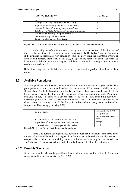| ACTIVITY INVENTORY                                      | Lucy Banks |
|---------------------------------------------------------|------------|
|                                                         |            |
| Answer questions on thermodynamics in Ch 4              | 2          |
| Repeat laws of thermodynamics out loud to Mark          | з          |
| Summarize laws of thermodynamics in writing             | з          |
| call Laura: invite her to the seminar on thermodynamics |            |
| call Mark: give me my laptop back soon! +               |            |
| call Andrew: buy tickets to concert?                    |            |
| Email Nick: how do you do ex. 2, p. 24?                 |            |
|                                                         |            |

Figure 2.20 Activity Inventory Sheet: Activities estimated at less than one Pomodoro.

In choosing one of the two possible strategies, remember that one of the functions of the Activity Inventory is to facilitate the choice of activities To Do Today. Take the first option if the activities in question are very similar or complementary; leave the other tasks without an estimate and combine them later. In any case, the greater the number of useful activities you have in the Activity Inventory, the simpler it will be to choose which strategy to use and how to combine the various tasks.

**Note** Any changes to the Activity Inventory can be made with a good pencil and an excellent eraser.

### 2.3.1 Available Pomodoros

Now that you have an estimate of the number of Pomodoros for each activity, you can decide to put together a set of activities that doesn't exceed the number of Pomodoros available in a day. Record these Available Pomodoros on the To Do Today Sheet; you would normally do so before actually listing the things to do. Figure 2.21 shows an example of eight Pomodoros available on July 12. Then, pick out the tasks to do for the day, combining activities if necessary. (Rule: If It Lasts Less Than One Pomodoro, Add It Up.) Write the activities you've chosen in order of priority on the To Do Today Sheet. For each one, every estimated Pomodoro is represented by an empty box (fig. 2.21).

| TO DO TODAY                                    | Rome, 12 July 2006<br>Lucy Banks<br>Available Pomodoros: 8 |
|------------------------------------------------|------------------------------------------------------------|
| Answer questions on thermodynamics in Ch 4     |                                                            |
| Repeat laws of thermodynamics out loud to Mark |                                                            |
| Summarize laws of thermodynamics in writing    |                                                            |

Figure 2.21 To Do Today Sheet: Estimated Pomodoros.

There's no point in adding activities beyond the total estimated eight Pomodoros. If the number of estimated Pomodoros is higher than the number of Pomodoros actually needed to complete the activities, the remaining number of Pomodoros can only be considered once you're finished. Then you can choose tasks from the Inventory to fill in that extra time.

### 2.3.2 Possible Scenarios

Set the timer, and as always, begin with the first activity on your list. Every time the Pomodoro rings, put an  $X$  in the first empty box (fig. 2.22).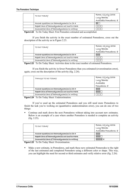| TO DO TODAY                                    | Rome, 12 July 2006<br>Lucy Banks<br>Available Pomodoros: 8 |
|------------------------------------------------|------------------------------------------------------------|
| Answer questions on thermodynamics in Ch 4     | l×ll                                                       |
| Repeat laws of thermodynamics out loud to Mark |                                                            |
| Summaríze laws of thermodynamics in writing    |                                                            |

Figure 2.22 To Do Today Sheet: First Pomodoro estimated and accomplished.

If you finish the activity in the exact number of estimated Pomodoros, cross out the description of the activity as in Figure 2.23.

| TO DO TODAY                                    | Roma, 12 July 2006<br>Lucy Banks<br>Avaílable Pomodoros: 8 |
|------------------------------------------------|------------------------------------------------------------|
| Answer questions on thermodynamics in Ch 4     | ⊠⊠                                                         |
| Repeat laws of thermodynamics out loud to Mark |                                                            |
| Summaríze laws of thermodynamics in writing    |                                                            |

Figure 2.23 To Do Today Sheet: Activities done in the exact number of estimated Pomodoros.

If you finish the activity in fewer Pomodoros than you estimated (overestimation error), again, cross out the description of the activity (fig. 2.24).

|  | THINGS TO DO TODAY                             | Rome, 12 July 2006 |  |  |
|--|------------------------------------------------|--------------------|--|--|
|  |                                                | Lucy Banks         |  |  |
|  |                                                | Available          |  |  |
|  |                                                | Pomodoros: 8       |  |  |
|  | Answer questions on thermodunamics in Ch 4     | XIX                |  |  |
|  | Repeat laws of thermodunamics out loud to Mark |                    |  |  |
|  | Summaríze laws of thermodynamics in writing    |                    |  |  |

Figure 2.24 To Do Today Sheet: Underestimation.

If you've used up the estimated Pomodoros and you still need more Pomodoros to finish the task you're working on (quantitative underestimation error), you can do one of two things:

 $\blacksquare$ Continue and mark down the next Pomodoros without taking into account new estimates. Below is an example of a case where another Pomodoro is needed to complete an activity  $(fig. 2.25).$ 

| TO DO TODAY                                            | Rome, 12 July 2006     |  |  |
|--------------------------------------------------------|------------------------|--|--|
|                                                        | Lucy Banks             |  |  |
|                                                        | Available Pomodoros: 8 |  |  |
| Answer questions on thermodynamics in Ch 4             | ⊠⊠                     |  |  |
| Repeat laws of thermodynamics out loud to Mark         |                        |  |  |
| <del>Summarize laws of Thermodynamics in writing</del> |                        |  |  |

Figure 2.25 To Do Today Sheet: Overestimation.

 $\blacksquare$ Make a new estimate, in Pomodoros, and mark these new estimated Pomorodos to the right of the last estimated and completed Pomodoro using a different color or shape. This way, you can highlight the need for second or third estimates and verify relative error (fig. 2.26).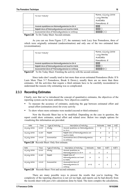| TO DO TODAY                                           | Rome, 12 July 2006<br>Lucy Banks<br>Available<br>Pomodoros: 8 |
|-------------------------------------------------------|---------------------------------------------------------------|
| <del>Answer questions on thermodynamics in Ch 4</del> | ⊠⊠                                                            |
| Repeat laws of thermodynamics out loud to Mark        |                                                               |
| Summarize laws of thermodynamics in writing           |                                                               |

Figure 2.26 To Do Today Sheet: Second estimate.

As you can see from Figure 2.27, the summary took Lucy four Pomodoros, three of which were originally estimated (underestimation) and only one of the two estimated later (overestimation).

| TO DO TODAY                                       |                                               |  |  |
|---------------------------------------------------|-----------------------------------------------|--|--|
|                                                   | Rome, 12 July 2006<br>Lucy Banks<br>Avaílable |  |  |
|                                                   |                                               |  |  |
|                                                   | Pomodoros: 8                                  |  |  |
| <u>Answer questions on thermodynamics in Ch 4</u> | xll×                                          |  |  |
| Repeat laws of thermodynamics out loud to Mark    |                                               |  |  |
| Summarize laws of Thermodynamics in writing       |                                               |  |  |

Figure 2.27 To Do Today Sheet: Finishing the activity with the second estimate.

Since tasks don't usually tend to last more than seven estimated Pomodoros (Rule: If It Lasts More Than 5-7 Pomodoros, Break It Down.), usually there are no more than three estimates. All the activities that require a third estimate have to be carefully reconsidered to understand the reasons why estimating was so complicated.

### 2.3.3 Recording Estimates

Clearly, now that we've introduced the concept of quantitative estimates, the objectives of the reporting system can be more ambitious. New objectives could be:

- To measure the accuracy of estimates, analyzing the gap between estimated effort and  $\blacksquare$ actual effort (estimation error) for every activity
- To show where more estimates were needed (second or third estimates)

Now the Records Sheet has to be modified. Depending on the case in question, the report could show estimates, actual effort and related error. Below two simple options for visualizing this information are provided.

| Date.        | Time  | Type of Activity | Description of Activity            | Estimate | Real | Þiff. |
|--------------|-------|------------------|------------------------------------|----------|------|-------|
| 12 July 2006 | 10:00 | Study            | Answer questions on thermodynamics | 2        | 2    | ο     |
|              |       |                  | ín Ch 4                            |          |      |       |
| 12 July 2006 | 11:30 | Repeat           | Repeat laws of thermodynamics out  |          |      |       |
|              |       |                  | loud to Mark                       |          |      |       |
| 12 July 2006 | 14:00 | Summaríze        | Summarize laws of thermodynamics   | 3        |      |       |
|              |       |                  | ín wrítíng                         |          |      |       |

| Date         | Tíme  | Type of Activity | Description of Activity | Estimate | Real | Þiff | diff 11 |
|--------------|-------|------------------|-------------------------|----------|------|------|---------|
| 12 July 2006 | 10:00 | Study            | Answer questions on     |          |      |      |         |
|              |       |                  | thermodynamics in Ch 4  | 2        | 2    | ο    |         |
| 12 July 2006 | 11:30 | Repeat           | Repeat laws of          |          |      |      |         |
|              |       |                  | thermodynamics out loud | 3        | 2    |      |         |
|              |       |                  | to Mark                 |          |      |      |         |
| 12 July 2006 | 14:00 | Summaríze        | Summarize laws of       |          |      |      |         |
|              |       |                  | thermodynamics in       | $3+2$    | 4    | -1   |         |
|              |       |                  | wrítína                 |          |      |      |         |

Figure 2.28 Records Sheet: Only first estimate.

Figure 2.29 Records Sheet: First and second estimates.

There are many possible ways to present the results that you're tracking. The complexity of the reporting objectives is not yet too high, and reports can be had directly from the records sheet with just a few calculations done by hand. The more complex the calculations,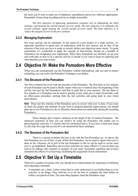The first objective of improving quantitative estimates lies in eliminating the third estimate, and keeping the overall margin of error small. The next objective is to eliminate the second estimate, again keeping the overall margin of error small. The final objective is to reduce the margin of error in the first estimate.

# 2.3.4 Managing Exploration

Not every activity can be estimated. At the outset of a new project or a study activity, it's especially beneficial to spend time on exploration: look for new sources, get an idea of the structure of the texts you have to study or consult, define your objectives more clearly. To guide exploration, it's worthwhile to apply the concept of time-boxing. Decide on a number of Pomodoros for completing your exploration. When these Pomodoros are finished, set up your real work plan or start in on a specific activity or decide if you want to keep on exploring and what direction you want to take.

#### $2.4$ **Objective IV: Make the Pomodoro More Effective**

When you can systematically use the Pomodoro without interruptions, and you start to master estimating, you can evolve the Pomodoro Technique even further.

# 2.4.1 The Structure of the Pomodoro

The first evolution has to do with the structure of the Pomodoro. The first three to five minutes of each Pomodoro can be used to briefly repeat what you've learned since the beginning of the activity (not just the last Pomodoro), and then to print this in your memory. The last three to five minutes of a Pomodoro can be used to quickly review what you've done (if possible, with an effect-cause procedure, starting from the last activities and going back to your initial motivations).

**Note** These last few minutes of the Pomodoro serve to review what you've done. If you want to check the quality and methods of your work to pinpoint potential improvement, you should plan one or two Pomodoros to do so. (Quicker observations are made daily during the recording Pomodoro.)

These changes don't require variations in the length of the 25-minute Pomodoro. The enhanced awareness of time you can achieve by using the Pomodoro will enable you to physiologically sense the 3-5 minute intervals mentioned above. If you have a hard time doing so, this may be a sign that you haven't yet mastered the basic technique.

# 2.4.2 The Structure of the Pomodoro Set

There is a second evolution that has to do with the four-Pomodoro set. As above, the first Pomodoro in a set of four, or part of this first Pomodoro, can be used to repeat what you've done so far. Likewise, all or part of the last Pomodoro in the set can be used to review what you've accomplished. Repetition and revision activities are more effective if you do them out loud or by talking with a partner or member of your team. Systematic repetition and revision stimulates the effects of *overlearning*, facilitating the acquisition of new information.

#### **Objective V: Set Up a Timetable**  $2.5$

There are a number of reasons why you should never underestimate the importance of defining and respecting a timetable.

A timetable sets a limit. Limits (when they're truly understood as inviolable) help us to be concrete, to do things. They motivate us to do our best to complete the tasks before us within a set period of time. The same thing happens when the Pomodoro rings.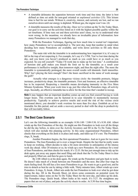- A timetable delineates the separation between work time and free time: the latter is best defined as time set aside for non-goal oriented or *unplanned activities* (15). This leisure time is fuel for our minds. Without it, creativity, interest, and curiosity are lost, and we run ourselves down until our energy is depleted. Without gas, the engine won't run. (4)
- A timetable measures the results of the day. Once we've written up the To Do Today Sheet. our goal is to carry out the activities listed on it with the highest possible quality within the set time frame. If time runs out and these activities aren't done, we try to understand what went wrong. In the meantime, we already have an invaluable piece of information: how many Pomodoros we managed to work that day.

With the Pomodoro Technique, figuring out how much time is wasted isn't important; how many Pomodoros we've accomplished is. The next day, keep that number in mind when deciding how many Pomodoros are available, and write down activities to fill only those Pomodoros

The main risk with the timetable is in underestimating how important it is; it's easy to fall in the trap of not respecting it. For example, let's say it's 3 PM. You've lost time during the day, and you know you haven't produced as much as you could have or as much as you expected. So you tell yourself: "Today I'll work late to make up for lost time." A combination of heroism and guilt makes you breach the limit set by the timetable; as a result your performance is ineffective tonight, then tomorrow night, and then the night after. The more the timetable is systematically prolonged, the more overall results will diminish. Guilt intensifies. Why? Isn't playing the hero enough? Don't the hours sacrificed in the name of work assuage the guilt?

Actually what emerges is a dangerous vicious circle: the timetable protracts, fatigue increases, productivity drops, the timetable protracts. First and foremost, an effective timetable has to be respected. Respecting a timetable means developing immunity to the Five More Minutes Syndrome. When your work time is up, just like when the Pomodoro rings, all activity stops. Secondly, an effective timetable has to allow for the free time that's needed to recoup.

Note It may happen that an important deadline comes up and you find yourself having to work longer hours. This overtime can be factored in to your timetable to momentarily increase productivity. Typically to achieve positive results and avoid the risk of the vicious circle mentioned above, you shouldn't work overtime for more than five days. Establish an ad hoc timetable for this period, and set aside a recovery period to deal with the drop in productivity that will inevitably follow.

#### $2.5.1$ The Best Case Scenario

Let's use the following timetable as an example:  $8:30-1:00 / 2:00-5:30$ . It's  $8:30$  AM. Albert winds up the first Pomodoro of the day. He might use this Pomodoro to look over all the things he did the day before, to skim over the Activity Inventory and fill in the To Do Today Sheet. which will also include this planning activity. In this same organizational Pomodoro, Albert checks that everything on his desk is in place and ready, and tidies up if it's not. The Pomodoro rings. X. break.

Another Pomodoro begins, the first operational Pomodoro. And on it goes for two more Pomodoros. The four-Pomodoro set is over; a longer break. Despite the fact that he really wants to keep on working, Albert decides to take a bit more downtime in anticipation of the intense work day ahead. After 20 minutes or so, he winds up a new Pomodoro. He continues for a total of four Pomodoros, and then checks his watch. It's 12:53. He has just enough time to tidy up his desk again, put away any papers that need filing and check that the To Do Today Sheet is clear and properly filled out, and then he goes to lunch.

By 2:00 Albert is at his desk again. He winds up the Pomodoro and gets back to work. He doesn't take much of a break between one Pomodoro and the next. But after four rings he starts feeling tired. He still has a few more Pomodoros to go. He wants to get a good rest, and he tries to detach as best he can by taking a little walk. Thirty minutes later, Albert winds up a new Pomodoro. It rings, X, break. Albert sets aside the last Pomodoro to look over what he got done during the day, fill in the Records Sheet, jot down some comments on potential room for improvement, makes notes on the To Do Today Sheet for the next day, and tidies up his desk. The Pomodoro rings. Quick break. Albert looks at his watch. It's 5:27. He straightens any papers that are out of place, and puts the activity sheets in order. At 5:30 free time begins.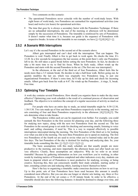Two comments on this scenario:

- The operational Pomodoros never coincide with the number of work/study hours. With eight hours of work/study, two Pomodoros are earmarked for organizational activities (one hour) and twelve (six hours) for operational activities.
- The time that goes by is always a secondary factor with the Pomodoro Technique. If there are no unhandled interruptions, the end of the morning or afternoon will be determined simply by the succession of Pomodoros. The timetable is reinforced by sets of Pomodoros. It doesn't matter what time it is, because our guide is the sequence of Pomodoros with respective breaks. In terms of the timetable in our example, we have  $[1+3]$ ,  $[4]$ ;  $[1+1]$ .

### 2.5.2 A Scenario With Interruptions

Let's say it's the second Pomodoro in the second set of the scenario above.

Albert gets interrupted and can't deal with the interruption. That can happen. The Pomodoro is void. Finally Albert is free to get back to work again. He checks the time. It's 12:20. In a few seconds he reorganizes the last session; at this point there's only one Pomodoro left to do. He still takes a quick break before setting the next Pomodoro. In fact, he decides to take a bit more time to try to find his focus. When he feels ready, Albert winds up the Pomodoro and starts with the second Pomodoro in the set. (The first one was interrupted.)

In the afternoon, at the end of the third set of four Pomodoros, Albert feels like he needs more than a 3-5 minute break. He decides to take a half-hour walk. Before going out, he quickly modifies the last set, which was originally two Pomodoros long, to just one organizational Pomodoro. If there's extra time, he'll tidy up his desk and check his incoming emails. Albert gets back from his walk at 4:47. He winds up the Pomodoro...it rings, X, break. Free time

### 2.5.3 Optimizing Your Timetable

A work day contains several Pomodoros. How should you organize them to make the day more effective? Optimizing your work schedule is the result of a continual process of observation and feedback. The objective is to reinforce the concept of a regular succession of activity as much as possible.

For people who have an entire day to study, an initial timetable might be: 8:30-12:30, 1:30-5:30. Two sets made up of four and three Pomodoros respectively in the morning, and two sets consisting of four and three Pomodoros respectively in the afternoon: [4], [3]: [4], [3]. The sets determine when to take breaks.

The Pomodoros within each set can be organized even further. For example, you could earmark the first Pomodoro in the first session for planning your day, and the following three for studying new topics, along with the next two Pomodoros from the second set. The last Pomodoro in the second group is set aside for checking and answering emails, listening to voice mail, and calling classmates, if need be. This is a way to respond effectively to possible interruptions intercepted during the morning. The first Pomodoro of the third set is for looking over what you did in the morning. The next three Pomodoros are to spend on studying. The first two Pomodoros of the fourth set are used to revise what you've learned today and in the past few days. The last Pomodoro of the day is destined for tracking and analyzing data. So, your timetable looks something like this:  $[1+3]$ ,  $[2+1]$ :  $[1+3]$ ,  $[2+1]$ .

The basic assumptions with this study schedule are that usually people are more productive in the morning, and more importantly the afternoon hours just after lunch are not very effective. Clearly, these assumptions are subjective. Why do we refer to an initial timetable? Because by gathering information on how you work/how you're working, in other words by tracking metrics of Pomodoros completed and other indicators every day, students can learn to pinpoint which set of Pomodoros is most productive for studying, revising, or being creative. Knowing this, they can consciously modify their study schedule, starting earlier or later, extending certain sets and reducing others, learning to know themselves better.

Here's the key to organizing a timetable: make conscious decisions on how to set it up. Up to this point, sets of four Pomodoros have been used because this amount is usually considered most effective. But you can also use longer or shorter sets lasting, say, three or five Pomodoros. At the end of the set comes a 15-30 minute break. In order to be effective, a timetable should also have the following features: it should be destined to change over time, and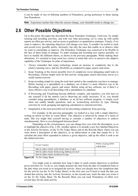it can be made of sets of differing numbers of Pomodoros, giving preference to those lasting four Pomodoros.

**Note** Experience teaches that when the seasons change, your timetable needs to change too.

#### **Other Possible Objectives**  $2.6$

Up to this point, this paper has described the basic Pomodoro Technique. Until now, by simple tracking and recording activities, and with very little processing, we've come up with useful reports on effort per activity, and on errors in qualitative or quantitative estimates. Clearly, if we want to improve, the reporting objectives will change over time. It wouldn't be useful to track and record every possible metric, obviously, but only the ones that enable us to observe what we want to consolidate or improve. The Pomodoro Technique was conceived to be flexible in the face of these kinds of changes. To make tracking and recording new metrics possible, we have to modify the different sheets, as shown in the previous paragraphs. While making these alterations, it's essential to keep some key criteria in mind that serve to preserve the adaptive capability of the Technique. In order of importance:

- 1. Always remember that using technology means an increase in complexity due to the relative learning curve, and less flexibility as compared to paper, pencil, and eraser.
- 2. Keep Tracking at the lowest possible level of complexity (even delegating small tasks to Recording). Choose simple tools for this activity: using paper, pencil and eraser serves as a useful mental exercise.
- 3. Keep recording simple by using the tools best suited to the complexity you have to manage. Before turning to a spreadsheet or a database, see if there's a more effective way to do Recording with paper, pencil, and eraser. Before using ad hoc software, see if there's a more effective way to do Recording with a spreadsheet or a database.
- 4. If Processing and Visualizing become difficult, complex, and repetitive, you first have to ask yourself if all the metrics you're observing are really necessary. If so, you should consider using spreadsheets, a database, or an ad hoc software program. A simple excel sheet can readily handle operations such as: reclassifying activities by type, filtering activities by word, grouping and applying calculations to selected activities.
- 5. Imagination is the most powerful tool for preventing complexity from growing.

For example, in the previous paragraphs, we looked at a case with a single objective: writing an article on How to Learn Music. This objective is achieved by means of a series of tasks. But you might find yourself having to consider a number of objectives to achieve simultaneously. How to you distinguish between them?

Depending on the circumstances, you can change how you write the description, so as to highlight the objective (Fig. 2.30). Another option is to include a new box labeled Objectives in the Activity Inventory, on the To Do Today Sheet, and on the Records Sheet, where you can write down a description of the objective, or an abbreviation or code that stands for it. To calculate the total effort expended to achieve a given objective, add up the effort it took to do the related activities

| TO DO TODAY                                      | Rome, 12 July 2006<br>Mark Ross |
|--------------------------------------------------|---------------------------------|
| How to Learn Musíc: write article (max 10 pps)   |                                 |
| How to Learn Musíc: finetune by reading out loud |                                 |
| How to Learn Musíc: condense to 3 pps            |                                 |

Figure 2.30 To Do Today Sheet

You might want to calculate how long it takes to reach certain objectives or perform given activities (2). To do so, you simply measure the time from the date of completion back to the date when you wrote in or assigned the activity. Since you already have the completion date for the activity (on the To Do Today Sheet), in the first case you'll need to track the date you slotted that activity into the Activity Inventory; in the second case, track the date you wrote it on the To Do Today Sheet. On the Records Sheet you can track Pomodoros of effort over several days for the same activity.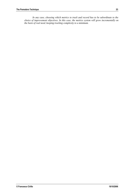In any case, choosing which metrics to track and record has to be subordinate to the choice of improvement objectives. In this case, the metrics system will grow incrementally on the basis of real need, keeping tracking complexity to a minimum.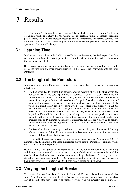### **Results**  $\mathcal{E}$

The Pomodoro Technique has been successfully applied in various types of activities: organizing work and study habits, writing books, drafting technical reports, preparing presentations, and managing projects, meetings, events, conferences, and training courses. Here are some observations that have emerged from the experience of people and teams who have applied the Pomodoro Technique.

# 3.1 Learning Time

It takes no time at all to apply the Pomodoro Technique. Mastering the Technique takes from seven to twenty days of constant application. If used in pairs or teams, it's easier to implement the technique consistently.

**Note** Experience shows that applying the Technique in teams or organizing work in pairs results in less learning time and more consistent results. In these cases, each pair works with their own Pomodoro.

#### The Length of the Pomodoro  $3.2$

In terms of how long a Pomodoro lasts, two forces have to be kept in balance to maximize effectiveness:

- The Pomodoro has to represent an effective atomic measure of work. In other words, the Pomodoro has to measure equal units of continuous effort; as such these units are comparable with others. The problem is that, as everyone knows, all time is not equal in terms of the output of effort. All months aren't equal: December is shorter in terms of number of productive days and so is August in Mediterranean countries. Likewise, all the weeks in a month aren't equal: we don't give the same effort every single week. All the days in a week aren't equal: some days you can work 8 hours, others only 5 if you need to travel or go to the dentist; in still other days you may work 10 or 12 hours (less often, hopefully). Even all the hours in a day aren't equal: not every hour produces the same amount of effort, mostly because of interruptions. As a unit of measure, much smaller time intervals such as 10 minutes might not be interrupted, but they don't allow us to achieve appreciable results, and tracking becomes much too intrusive. So as far as this first force, half an hour seems to be ideal.
- The Pomodoro has to encourage consciousness, concentration, and clear-minded thinking. It's been proven that 20- to 45-minute time intervals can maximize our attention and mental activity, if followed by a short break (15).

In light of these two forces, we've come to consider the ideal Pomodoro as  $20 - 35$ minutes long, 40 minutes at the most. Experience shows that the Pomodoro Technique works best with 30-minute time periods.

**Note** In various work groups which experimented with the Pomodoro Technique in mentoring activities, each team was allowed to choose the length of their own Pomodoro on the condition that this choice had to be based on observations regarding effectiveness. Generally, the teams started off with hour-long Pomodoros (25 minutes seemed too short at first), then moved to 2 hours, then down to 45 minutes, then 10, till they finally settled on 30 minutes.

#### $3.3$ **Varying the Length of Breaks**

The length of breaks depends on the how tired you feel. Breaks at the end of a set should last from 15 to 30 minutes. For example, if you've kept up an intense rhythm throughout the whole day, at the end of the next to last set of Pomodoros your break will naturally last 25 minutes. If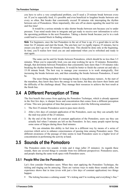you have to solve a very complicated problem, you'll need a 25-minute break between every set. If you're especially tired, it's possible and even beneficial to lengthen breaks between sets every so often. But breaks that consistently exceed 30 minutes risk interrupting the rhythm between sets of Pomodoros. More importantly, this sets off an alarm signaling the need for rest and free time!

It would be a serious mistake to take shorter breaks between sets because you're under pressure. Your mind needs time to integrate and get ready to receive new information to solve the upcoming problems in the next Pomodoro. Taking a shorter break because you're in a rush could lead to a mental block in finding solutions.

**Note** For beginners, once the last Pomodoro in the set of four is up, it's a good idea to set the timer for 25 minutes and start the break. The aim here isn't to rigidly impose 25 minutes, but to ensure you don't go over 30 minutes of break time. This should be done only at the beginning. In time, you'll realize how tired you are and understand when you're refreshed and ready to start again.

The same can be said for breaks between Pomodoros, which should be no less than 3-5 minutes. When you're especially tired, you can stop working for up to 10 minutes. Remember, though, that downtime between Pomodoros that consistently lasts more than 5-10 minutes risks breaking the rhythm between Pomodoros. It would be better to finish the current set and take a 15-30 minute break. The best way to manage your resources is to work strategically, first increasing the breaks between sets, and then extending the breaks between Pomodoros, if need be.

The most fitting metaphor for managing breaks is long-distance runners. At the start of the marathon, they know they have the energy to run faster, but they also know their limits and the difficulty of the challenge ahead. They manage their resources to achieve the best result at the finish line

#### **A Different Perception of Time**  $3.4$

The first benefit that comes from applying the Pomodoro Technique, which is already apparent in the first few days, is sharper focus and concentration that comes from a different perception of time. This new perception of time that passes seems to elicit the following sensations:

- 1. The first 25-minute Pomodoros seem to pass more slowly.
- 2. After a few days of constant application of the Pomodoro, users say they can actually feel the mid-way point of the 25 minutes.
- 3. By the end of the first week of constant application of the Pomodoro, users say they can actually feel when 5 minutes are left on the Pomodoro. In fact, many people report having some sense of fatigue during these final minutes.

We can stimulate this ability to feel time in a different way by means of a series of exercises which serve to enhance consciousness of passing time among Pomodoro users. This different awareness of the passage of time seems to lead Pomodoro users to a higher level of concentration in performing the activity at hand.

#### $3.5$ **Sounds of the Pomodoro**

The Pomodoro emits two sounds: it ticks and it rings (after 25 minutes). As regards these sounds, there are several things to consider from two different perspectives: Pomodoros users, and people sharing the same work space with Pomodoro users.

### 3.5.1 People Who Use the Pomodoro

Let's first consider Pomodoro users. When they start applying the Pomodoro Technique, the ticking and ringing can be annoying. There are various ways to make these sounds softer, but experience shows that in time (even with just a few days of constant application) two things happen:

Î, The ticking becomes a calming sound. "It's ticking and I'm working and everything's fine."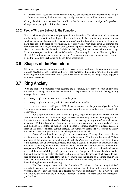After a while, users don't even hear the ring because their level of concentration is so high. In fact, not hearing the Pomodoro ring actually becomes a real problem in some cases.

Clearly the different sensations that are elicited by the same sounds are signs of a profound change in the perception of time that passes.

### 3.5.2 People Who are Subject to the Pomodoro

Now consider people who have to "put up with" the Pomodoro. This situation would arise when the Technique is used in a shared space, for example study halls at a university or an open space work environment. To respect the people who don't use the Pomodoro, a number of solutions have been tested. In order of effectiveness, there are: watches that count down 25 minutes and then flash or beep softly; cell phones with software applications that vibrate or make the display flash (for example the PomodoroMobile by XPLabs); kitchen timers with muted rings; Pomodoro computer software, aka soft-Pomodoro (first among these is the JTomato by Bruno Bossola). The ticking and ringing of several Pomodoros in an environment where a team is using the Pomodoro Technique isn't considered bothersome.

#### **Shapes of the Pomodoro**  $3.6<sup>°</sup>$

Obviously, the kitchen timer you use doesn't have to be shaped like a tomato. Apples, pears, oranges, toasters, cooks, spheres, and UFOs: the market for timers is a varied as it is upbeat. Choosing your own Pomodoro (or we should say timer) makes the Technique more enjoyable and more accessible.

#### $3.7$ **Ring Anxiety**

With the first few Pomodoros when learning the Technique, there may be some anxiety from the feeling of being controlled by the Pomodoro. Experience shows that this feeling mainly emerges in two cases:

- among people who are not used to self-discipline  $\blacksquare$
- among people who are very oriented toward achieving results

In both cases, it will prove difficult to concentrate on the primary objective of the Technique: empowering each person to improve his or her work or study process through selfobservation.

For people who aren't used to self-discipline, ring anxiety generally comes from the fear that the Pomodoro Technique might be used to externally monitor their progress. It's important to stress that the aim of the Technique is not to carry out any sort of external analysis or control. With the Pomodoro Technique, there is no inspector who monitors workers' hours and methods in a Tayloristic fashion. The Pomodoro Technique mustn't be misconstrued as a form of this kind of external control. Instead, the Pomodoro Technique was created to satisfy the personal need to improve, and it has to be applied spontaneously.

Cases of results-oriented people are more common. If every tick seems like an invitation to work quickly, if every tock repeats the question, "Am I going fast enough?" these are signs of full immersion in what we might call the *Becoming Syndrome*. And today this is quite common. The underlying fear people have here is usually the inability to demonstrate their effectiveness as fully as they'd like to others and to themselves. The Pomodoro is a method for comparison, if not with others then at the least with themselves, and every tick and tock seems to reveal their lack of ability. Under pressure from time that passes, they look for shortcuts, but this isn't the way to go faster; shortcuts lead to defects and interruptions which feed into their fear of time in a vicious circle. How can they come to hear the ticking as a calming sound? The idea, the solution might be just around the corner with the next tick, but they'll miss it if they keep thinking how fast time is passing.

The first thing to learn with the Pomodoro Technique is that seeming fast isn't important, reaching the point of actually being fast is. You do this by learning to measure yourself, observe how you work, and develop the value of continuity. This is why the first objective to achieve with the Pomodoro Technique is simply to mark down the Pomodoros you've done.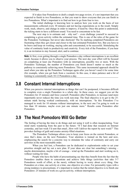If it takes four Pomodoros to draft a simple two-page review, it's not important that you expected to finish in two Pomodoros, or that you want to show everyone that you can finish in two Pomodoros. What's important is to find out how to go from four to two.

The initial challenge is knowing how to analyze how you work on the basis of test measurements collected every 30 minutes and not having expectations as to the result. Simply work, track, observe, and change in order to improve, if need be. Once this point is understood, the ticking starts to have a different sound. You need to concentrate to be fast.

The next step is to estimate and  $-$  why not?  $-$  even challenge yourself to succeed in completing a given activity within the estimated time. This is one of the rules of the game for the Pomodoro Technique; but never take shortcuts! The Xs marking completed Pomodoros are frustrating when they get closer and closer to the last estimated Pomodoro box. But you have to be brave and keep on working, staying calm and concentrated, to be successful. Stimulating the value of continuity leads to productivity and creativity. Every tick of the Pomodoro, if you hear it, is an invitation to stay focused, alert, and to continue.

**Note** At first, even getting through a single Pomodoro a day without interruptions is an excellent result, because it allows you to observe your process. The next day your effort will be focused on completing at least one Pomodoro with no interruptions, possibly two or more. With the Pomodoro Technique, the number of Pomodoros you finish doesn't matter so much as the pathway to consistently achieving more Pomodoros. This same incremental approach should be used when you take up the Pomodoro Technique again after you haven't used it for some time (for example, when you get back from a vacation). In this case, it takes patience and a bit of training to consistently reach 10-12 Pomodoros a day.

# 3.8 Constant Internal Interruptions

When you perceive internal interruptions as things that can't be postponed, it becomes difficult to complete even a single Pomodoro in a whole day. In these cases, we suggest you set the Pomodoro for 25 minutes and force yourself, Pomodoro after Pomodoro, to increase (and more importantly never reduce) the time you work non-stop. The final objective is to get to the 25minute mark having worked continuously, with no interruptions. "In this Pomodoro I've managed to work for 10 minutes without interruptions, in the next one I'm going to work no less than 10 minutes, maybe even just one minute more." Results come Pomodoro after Pomodoro.

#### The Next Pomodoro Will Go Better  $3.9$

The feeling of having the time to do things and not using it well is often incapacitating. Your mind starts wandering from the past to the future: "If I had done that research on Internet yesterday, and last week I'd sent that email...How will I deliver the report by next week?" This provokes feelings of guilt and creates anxiety-filled situations.

The Pomodoro Technique allows you to keep your focus on the current Pomodoro, or once that's done, on the next Pomodoro. Your attention is trained on the here and now, emphasizing the search for a concrete way to stimulate the value of continuity and carry out activities in the most reasonable order.

When you feel lost, a Pomodoro can be dedicated to exploration in order to set your priorities straight and lay out a new plan. If your ideas are clear but something's missing – maybe determination, maybe a bit of courage - wind up the Pomodoro and start working on it, without waiting for time.

People who have the habit of procrastinating say that they benefit from the fact that the Pomodoro enables them to concentrate and achieve little things (activities that take 5-7 Pomodoros worth of effort, at the most), without having to worry about every thing. One Pomodoro at a time, one activity at a time, one objective at a time. For personality types with a strong tendency to procrastinate, it's important to realize that the initial objective is to finish one Pomodoro: 25 minutes of work on a given activity, without interruptions.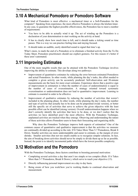# 3.10 A Mechanical Pomodoro or Pomodoro Software

What kind of Pomodoro is most effective: a mechanical timer or a Soft-Pomodoro for the computer? Speaking from experience, the most effective Pomodoro is always the kitchen timer. In any case, to guarantee the highest possible effectiveness, the Pomodoro has to meet a number of requirements:

- You have to be able to actually wind it up. The act of winding up the Pomodoro is a declaration of your determination to start working on the activity at hand.
- $\blacksquare$ It has to clearly show how much time is left, and it should make a ticking sound as time passes. This is a way we can practice feeling time and staying focused.
- It should make an audible, easily identified sound to signal that time's up.

What's more, to mark the end of a Pomodoro or to eliminate a finished activity from the To Do Today Sheet, Pomodoro practitioners should use explicit gestures. For this reason it's better if these aren't automated.

# 3.11 Improving Estimates

One of the more tangible results that can be attained with the Pomodoro Technique involves improving the ability to estimate. This develops along two pathways:

- Improvement of quantitative estimates by reducing the error between estimated Pomodoros and actual Pomodoros. In other words, while planning the day's tasks, the effort needed to complete a given activity can be accurately predicted. Self-observation and 30-minute measurements are the basis for more exact estimates. Experience shows that a positive sign of improvement in estimation is when the number of cases of underestimation is equal to the number of cases of overestimation. A strategy oriented toward systematic overestimation or underestimation does not lead to quantitative improvement. Learning to estimate is essential in order to be effective.
- Improvement of qualitative estimates by reducing the number of activities that weren't included in the planning phase. In other words, while planning the day's tasks, the number and type of activity that actually has to be done can be pinpointed (weak version), or better still the specific set of activities that serve to achieve the given objective with the least possible effort can be identified (strong version). Overall underestimation happens when we don't correctly identify the activities that have to be done, or we don't realize that the activities we have identified aren't the most effective. With the Pomodoro Technique, unplanned activities are tracked when they emerge. Observing and understanding the nature of these activities allows Pomodoro users to hone their forecasting and organizing skills.

Why does the Pomodoro Technique improve both aspects of estimation? One of the common causes of quantitative and qualitative improvement is that the activities we measure are continually divided up according to the rule: If It Takes More Than 5-7 Pomodoros, Break It Down. Smaller activities are more understandable and easier to estimate, so the margin of error shrinks. Smaller activities (but not too small) enable us to recognize simpler solutions. In fact, the aim of breaking down activities should never be simply to divide them up as far as possible. Instead, the point is to identify incremental paths which have the lowest possible complexity.

# 3.12 Motivation and the Pomodoro

With the Pomodoro Technique, three factors contribute to boosting personal motivation:

- Completing several activities a day that aren't too simple or too complex (Rule: If it Takes  $\blacksquare$ More than 5-7 Pomodoros, Break It Down.), which serve to reach your objective (13).
- Directly influencing personal improvement on a day to day basis. п
- Being aware of how you work/how you're working thanks to continual observation and  $\blacksquare$ measurement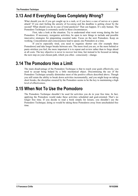# 3.13 And If Everything Goes Completely Wrong?

What should you do if you get caught up in a rush, or if you have a case of nerves or a panic attack? If you start feeling the anxiety of *becoming* and the deadline is getting closer by the second? What should you do in case of total paralysis? That can happen. It's only human. The Pomodoro Technique is extremely useful in these circumstances.

First, take a look at the situation. Try to understand what went wrong during the last Pomodoro. If necessary, reorganize activities: be open to new things to include and possible innovative strategies for pinpointing essential tasks. Focus on the next Pomodoro. Keep on working. Concentration and consciousness lead to speed, one Pomodoro at a time.

If you're especially tired, you need to organize shorter sets (for example three Pomodoros) and take longer breaks between sets. The more tired you are, or the more behind or panic-stricken you feel, the more important it is to repeat and review rather than to forge ahead at all costs. The key objective is never to recover lost time, but instead to be focused on taking the next step on your chosen path, which you often - consciously - change.

# 3.14 The Pomodoro Has a Limit

The main disadvantage of the Pomodoro Technique is that to reach your goals effectively, you need to accept being helped by a little mechanical object. Discontinuing the use of the Pomodoro Technique actually diminishes most of the positive effects described above. Though you still retain the ability to break down activities incrementally, and you might keep on taking short breaks, the discipline ensured by the Pomodoro seems to be the key to maintaining a high level of effectiveness.

# 3.15 When Not To Use the Pomodoro

The Pomodoro Technique shouldn't be used for activities you do in your free time. In fact, applying the Pomodoro would make these activities scheduled and goal-oriented. That's no longer free time. If you decide to read a book simply for leisure, you shouldn't use the Pomodoro Technique; doing so would be taking those Pomodoros away from unscheduled free time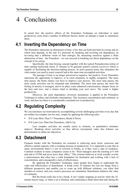# 4 Conclusions

In actual fact, the positive effects of the Pomodoro Technique on individual or team productivity come from a number of different factors; below an attempt is made to summarize them.

#### $4.1$ **Inverting the Dependency on Time**

The Pomodoro represents an abstraction of time, a box that can hold and limit *becoming* and on which time depends, in the end. It's precisely by breaking and inverting our dependency on *becoming* that a different vision of time emerges. By measuring ourselves against a finite abstraction of time - the Pomodoro - we can succeed in breaking our direct dependency on the concept of *becoming*.

Specifically, the time-boxing concept together with the typical Pomodororian notion of time running backwards (from 25 minutes to 0) generate positive tension (eustress) which is capable of facilitating the decision-making process. In more general terms, this stimulates the vital contact you need to assert yourself and at the same time accomplish activities.

The passage of time is no longer perceived as negative, but positive. Every Pomodoro represents the opportunity to improve, or in crisis situations, to rapidly reorganize. The more time passes, the better chance you have to improve your process. The more time passes, the more easily activities can be estimated and scheduled. The more time passes, the more the feeling of anxiety is assuaged, and in its place come enhanced consciousness, sharper focus on the here and now, and a clearer mind in deciding your next move. The result is higher productivity.

Moreover, the same dependency inversion mechanism is applied in the Pomodoro Technique to reduce and eliminate interruptions. This increases concentration and continuity in work, and here too there is a considerable correlated rise in productivity.

#### $4.2$ **Regulating Complexity**

We can maximize our motivation by accomplishing several challenging activities every day that are neither too complex nor too easy, simply by applying the following rules:

- $\blacksquare$ If It Lasts More Than 5-7 Pomodoros, Break It Down.
- × If It Lasts Less Than One Pomodoro, Add It Up.

Less complex activities are usually easier to estimate, so quantitative estimates improve. Breaking down activities so they deliver incremental value also bolsters our determination to attain our objectives.

#### $4.3$ **Detachment**

Frequent breaks with the Pomodoro are essential to achieving more lucid, conscious and effective mental capacity with a resulting increase in productivity. It is important to note that in many environments there's a sort of aversion to breaks, as if they were a sign of weakness. Common wisdom in many companies seems to be: "Real managers start the meeting at 9 AM and end at 10 PM and never leave their office." This extreme behavior at work actually reveals a tenaciousness that often lays a solid foundation for frustration and working with a lack of concentration, and consequently a lack of effectiveness.

By applying the Pomodoro Technique, many people have begun to understand the value and effectiveness of detachment. A break every 25 minutes lets you see things from a different perspective and enables you to come up with different solutions; you often find mistakes to correct, and your creative processes are stimulated. Detachment enhances the value of continuity.

But the break really has to be a break. It isn't simply stopping an activity when the 25minute buzzer rings, or when a set is finished, and continuing to think about that task during the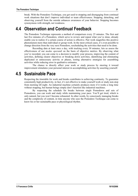break. With the Pomodoro Technique, you get used to stopping and disengaging from continual work situations that don't improve individual or team effectiveness. Stopping, detaching, and observing yourself from the outside enhances awareness of your behavior. Stopping becomes synonymous with strength, not weakness.

#### **Observation and Continual Feedback** 44

The Pomodoro Technique represents a method of comparison every 25 minutes. The first and last five minutes of a Pomodoro, which serve to review and repeat what you've done, already enable you to realize if a certain course of action is effective. Pair work magnifies this positive phenomenon more than individual or group work. In the most critical cases, it's even possible to change direction from the very next Pomodoro, rescheduling the activities that need to be done.

Recording data at least once a day, with tracking every 30 minutes, lets us assess the effectiveness of our *modus operandi* on the basis of objective metrics. By observing what you've recorded, you can come to a decision to modify your process, improving the content of activities, defining clearer objectives or breaking down activities, identifying and eliminating duplicated or unnecessary activity or phases, testing alternative strategies for assembling activities while reducing error in qualitative estimates.

The chance to directly affect your work or study process by steering it toward improvement stimulates your personal interest in accomplishing activities by asserting yourself.

#### **Sustainable Pace**  $4.5$

Respecting the timetable for work and breaks contributes to achieving continuity. To guarantee consistently high productivity, in fact, it's not effective to make yourself work or study non-stop from morning till night. An industrial machine certainly produces more if it works a long time without stopping, but human beings simply don't function like industrial machines.

By respecting the schedule for breaks between single Pomodoros and sets of Pomodoros, you can work and study while maintaining your pace. You'll get tired, which is only natural, but you won't become exhausted. In other words, by consciously managing breaks and the complexity of content, in time anyone who uses the Pomodoro Technique can come to know his or her sustainable pace or physiological rhythm.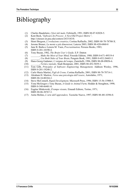# Bibliography

- $(1)$ Charles Baudelaire, I fiori del male, Feltrinelli, 1991; ISBN 88-07-82028-5.
- $(2)$ Kent Beck, "Software-In-Process: A New/Old Project Metric", http://citeseer.ist.psu.edu/context/2433183/0.
- $(3)$ Henri Bergson, L'evoluzione creatrice, Cortina Raffaello, 2002; ISBN 88-70-78780-X.
- $(4)$ Jerome Bruner, La mente a più dimensioni, Laterza 2003; ISBN 88-420-6860-8
- $(5)$ Jane B. Burka e Lenora M. Yuen, *Procrastination*, Perseus Books, 1983;
- ISBN 0-201-10190-4.
- $(6)$ Tony Buzan, 1982, The Brain User's Guide, E.P. Dutton
- , Make the Most of Your Mind, Fireside Edition, 1988; ISBN 0-671-49519-4  $(7)$
- $(8)$ , Use Both Sides of Your Brain, Penguin Book, 1991; ISBN 0-452-26603-3.
- $(9)$ Hans-Georg Gadamer, L'enigma del tempo, Zanichelli, 1996, ISBN 88-08-09056-6.
- $(10)$ Verità e metodo, Studi Bompiani, 2001, ISBN 88-452-5039-3.
- Tom Gilb, Principles of Software Engineering Management, Addison Wesley, 1996,  $(11)$ ISBN 0-201-19246-2.
- $(12)$ Carlo Maria Martini, Figli di Crono, Cortina Raffaello, 2001; ISBN 88-70-78714-1.
- (13) Abraham H. Maslow, Verso una psicologia dell'essere, Astrolabio, 1971; ISBN 88-34-00184-2.
- $(14)$ Steve McConnell, Rapid Development, Microsoft Press, 1996; ISBN 15-56-15900-5.
- $(15)$ Yona McGregor e Tony Buzan, A Guide to Animal Farm, Hodder & Stoughton, 1998; ISBN 0-340-66401-0.
- (16) Eugène Minkowski, *Il tempo vissuto*, Einaudi Editore, Torino, 1971; ISBN 88-06-30767-3.
- (17) Anita Molino, L'arte dell'apprendere, Tecniche Nuove, 1997; ISBN 88-481-0396-0.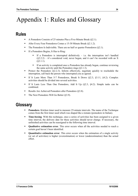# Appendix 1: Rules and Glossary

# **Rules**

- A Pomodoro Consists of 25 minutes Plus a Five-Minute Break (§2.1).
- $\blacksquare$ After Every Four Pomodoros Comes a 15-30 Minute Break (§2.1.2).
- The Pomodoro Is Indivisible. There are no half or quarter Pomodoros  $(82.1)$ .  $\blacksquare$
- $\blacksquare$ If a Pomodoro Begins, It Has to Ring:
	- If a Pomodoro is interrupted definitively  $-$  i.e. the interruption isn't handled  $(\S2.2.2)$  – it's considered void, never begun, and it can't be recorded with an X  $(\$2.1.1)$ .
	- If an activity is completed once a Pomodoro has already begun, continue reviewing the same activity until the Pomodoro rings  $(82.1.3)$ .
- ä Protect the Pomodoro  $(82.2.3)$ . Inform effectively, negotiate quickly to reschedule the interruption, call back the person who interrupted you as agreed.
- $\blacksquare$ If It Lasts More Than 5-7 Pomodoros, Break It Down  $(\S2.3, \S3.11, \S4.2)$ . Complex activities should be divided into several activities.
- If It Lasts Less Than One Pomodoro, Add It Up  $(\S2.3, \S4.2)$ . Simple tasks can be  $\blacksquare$ combined.
- Results Are Achieved Pomodoro after Pomodoro (§3.8).
- $\blacksquare$ The Next Pomodoro Will Go Better (§3.9).

# **Glossary**

- **Pomodoro**. Kitchen timer used to measure 25-minute intervals. The name of the Technique comes from the first timer used which was shaped like a tomato (pomodoro in Italian).
- Time-boxing. With this technique, once a series of activities has been assigned to a given  $\blacksquare$ time interval, the delivery date for these activities should never change. If necessary, the unfinished activities can be reassigned to the following time interval.
- $\mathbf{u}$  . **Qualitative estimation error**. This error occurs when all the activities needed to reach a certain goal haven't been identified.
- $\blacksquare$ **Quantitative estimation error**. This error occurs when the estimation of a single activity (or set of activities) is higher (overestimation) or lower (underestimation) than the actual effort.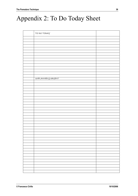# Appendix 2: To Do Today Sheet

| το DO ΤΟDΑΥ        |  |
|--------------------|--|
|                    |  |
|                    |  |
|                    |  |
|                    |  |
|                    |  |
|                    |  |
|                    |  |
|                    |  |
|                    |  |
|                    |  |
|                    |  |
|                    |  |
|                    |  |
|                    |  |
|                    |  |
| UNPLANNED & URGENT |  |
|                    |  |
|                    |  |
|                    |  |
|                    |  |
|                    |  |
|                    |  |
|                    |  |
|                    |  |
|                    |  |
|                    |  |
|                    |  |
|                    |  |
|                    |  |
|                    |  |
|                    |  |
|                    |  |
|                    |  |
|                    |  |
|                    |  |
|                    |  |
|                    |  |
|                    |  |
|                    |  |
|                    |  |
|                    |  |
|                    |  |
|                    |  |
|                    |  |
|                    |  |
|                    |  |
|                    |  |
|                    |  |
|                    |  |
|                    |  |